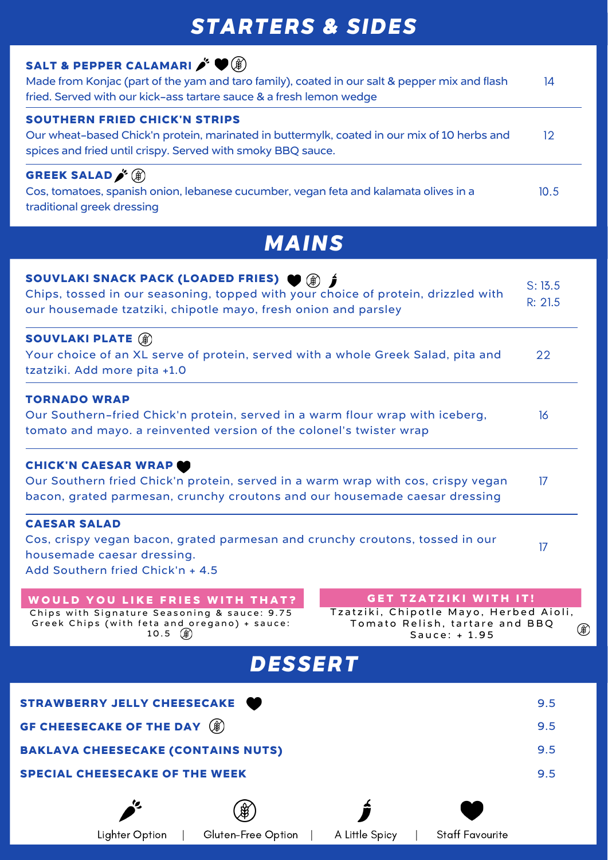### **SALT & PEPPER CALAMARI**

Made from Konjac (part of the yam and taro family), coated in our salt & pepper mix and flash fried. Served with our kick-ass tartare sauce & a fresh lemon wedge 14

### **SOUTHERN FRIED CHICK'N STRIPS**

Our wheat-based Chick'n protein, marinated in buttermylk, coated in our mix of 10 herbs and spices and fried until crispy. Served with smoky BBQ sauce. 12

**GREEK SALAD** Cos, tomatoes, spanish onion, lebanese cucumber, vegan feta and kalamata olives in a traditional greek dressing 10.5

# *STARTERS & SIDES*

#### **SOUVLAKI SNACK PACK (LOADED FRIES)** Chips, tossed in our seasoning, topped with your choice of protein, drizzled with our housemade tzatziki, chipotle mayo, fresh onion and parsley S: 13.5 R: 21.5

Chips with Signature Seasoning & sauce: 9.75 Greek Chips (with feta and oregano) + sauce: 1 0 . 5

#### **SOUVLAKI PLATE** Your choice of an XL serve of protein, served with a whole Greek Salad, pita and tzatziki. Add more pita +1.0 22

Tzatziki, Chipotle Mayo, Herbed Aioli, Tomato Relish, tartare and BBQ  $\left( \begin{smallmatrix} \bigoplus \ \bigoplus \end{smallmatrix} \right)$ S a u c e : + 1 . 9 5

### **TORNADO WRAP**

Our Southern-fried Chick'n protein, served in a warm flour wrap with iceberg, tomato and mayo. a reinvented version of the colonel's twister wrap 16

#### **CHICK'N CAESAR WRAP**

Our Southern fried Chick'n protein, served in a warm wrap with cos, crispy vegan bacon, grated parmesan, crunchy croutons and our housemade caesar dressing 17

#### **CAESAR SALAD**

Cos, crispy vegan bacon, grated parmesan and crunchy croutons, tossed in our housemade caesar dressing. Add Southern fried Chick'n + 4.5

#### WOULD YOU LIKE FRIES WITH THAT?

17

# *MAINS*

#### **G E T T Z A T Z I K I W I T H I T !**

**STRAWBERRY JELLY CHEESECAKE** 9.5 **GF CHEESECAKE OF THE DAY** 9.5 **BAKLAVA CHEESECAKE (CONTAINS NUTS)** 9.5 **SPECIAL CHEESECAKE OF THE WEEK** 9.5

Lighter Option | Gluten-Free Option | A Little Spicy | Staff Favourite

## *DESSERT*